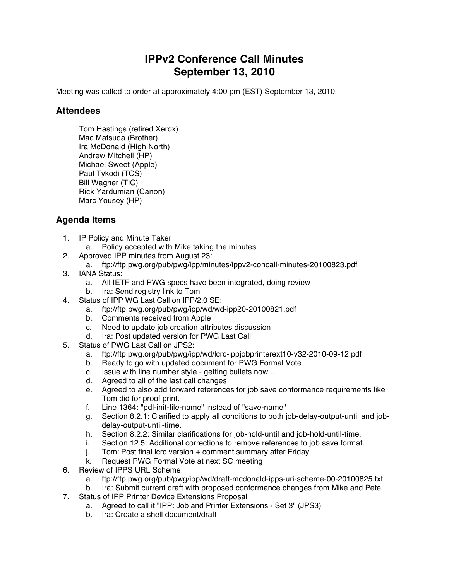## **IPPv2 Conference Call Minutes September 13, 2010**

Meeting was called to order at approximately 4:00 pm (EST) September 13, 2010.

## **Attendees**

Tom Hastings (retired Xerox) Mac Matsuda (Brother) Ira McDonald (High North) Andrew Mitchell (HP) Michael Sweet (Apple) Paul Tykodi (TCS) Bill Wagner (TIC) Rick Yardumian (Canon) Marc Yousey (HP)

## **Agenda Items**

- 1. IP Policy and Minute Taker
	- a. Policy accepted with Mike taking the minutes
- 2. Approved IPP minutes from August 23:
	- a. ftp://ftp.pwg.org/pub/pwg/ipp/minutes/ippv2-concall-minutes-20100823.pdf
- 3. IANA Status:
	- a. All IETF and PWG specs have been integrated, doing review
	- b. Ira: Send registry link to Tom
- 4. Status of IPP WG Last Call on IPP/2.0 SE:
	- a. ftp://ftp.pwg.org/pub/pwg/ipp/wd/wd-ipp20-20100821.pdf
	- b. Comments received from Apple
	- c. Need to update job creation attributes discussion
	- d. Ira: Post updated version for PWG Last Call
- 5. Status of PWG Last Call on JPS2:
	- a. ftp://ftp.pwg.org/pub/pwg/ipp/wd/lcrc-ippjobprinterext10-v32-2010-09-12.pdf
	- b. Ready to go with updated document for PWG Formal Vote
	- c. Issue with line number style getting bullets now...
	- d. Agreed to all of the last call changes
	- e. Agreed to also add forward references for job save conformance requirements like Tom did for proof print.
	- f. Line 1364: "pdl-init-file-name" instead of "save-name"
	- g. Section 8.2.1: Clarified to apply all conditions to both job-delay-output-until and jobdelay-output-until-time.
	- h. Section 8.2.2: Similar clarifications for job-hold-until and job-hold-until-time.
	- i. Section 12.5: Additional corrections to remove references to job save format.
	- j. Tom: Post final lcrc version + comment summary after Friday
	- k. Request PWG Formal Vote at next SC meeting
- 6. Review of IPPS URL Scheme:
	- a. ftp://ftp.pwg.org/pub/pwg/ipp/wd/draft-mcdonald-ipps-uri-scheme-00-20100825.txt
	- b. Ira: Submit current draft with proposed conformance changes from Mike and Pete
- 7. Status of IPP Printer Device Extensions Proposal
	- a. Agreed to call it "IPP: Job and Printer Extensions Set 3" (JPS3)
	- b. Ira: Create a shell document/draft